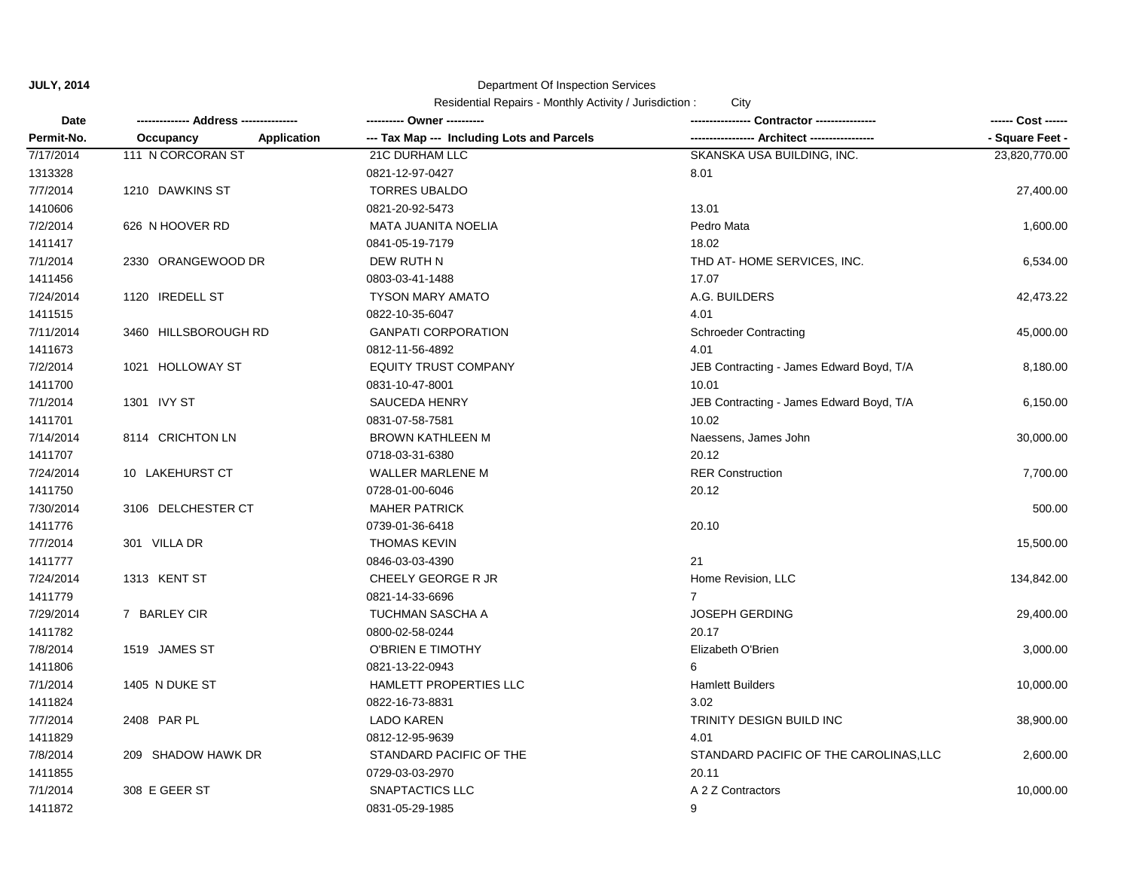| Date       | -------------- Address --------------- | ---------- Owner ----------                | Contractor ----------------              | ------ Cost ------ |
|------------|----------------------------------------|--------------------------------------------|------------------------------------------|--------------------|
| Permit-No. | <b>Application</b><br>Occupancy        | --- Tax Map --- Including Lots and Parcels | -- Architect -----------------           | - Square Feet -    |
| 7/17/2014  | 111 N CORCORAN ST                      | 21C DURHAM LLC                             | SKANSKA USA BUILDING, INC.               | 23,820,770.00      |
| 1313328    |                                        | 0821-12-97-0427                            | 8.01                                     |                    |
| 7/7/2014   | 1210 DAWKINS ST                        | <b>TORRES UBALDO</b>                       |                                          | 27,400.00          |
| 1410606    |                                        | 0821-20-92-5473                            | 13.01                                    |                    |
| 7/2/2014   | 626 N HOOVER RD                        | MATA JUANITA NOELIA                        | Pedro Mata                               | 1,600.00           |
| 1411417    |                                        | 0841-05-19-7179                            | 18.02                                    |                    |
| 7/1/2014   | 2330 ORANGEWOOD DR                     | DEW RUTH N                                 | THD AT-HOME SERVICES, INC.               | 6,534.00           |
| 1411456    |                                        | 0803-03-41-1488                            | 17.07                                    |                    |
| 7/24/2014  | 1120 IREDELL ST                        | <b>TYSON MARY AMATO</b>                    | A.G. BUILDERS                            | 42,473.22          |
| 1411515    |                                        | 0822-10-35-6047                            | 4.01                                     |                    |
| 7/11/2014  | 3460 HILLSBOROUGH RD                   | <b>GANPATI CORPORATION</b>                 | <b>Schroeder Contracting</b>             | 45,000.00          |
| 1411673    |                                        | 0812-11-56-4892                            | 4.01                                     |                    |
| 7/2/2014   | 1021 HOLLOWAY ST                       | <b>EQUITY TRUST COMPANY</b>                | JEB Contracting - James Edward Boyd, T/A | 8,180.00           |
| 1411700    |                                        | 0831-10-47-8001                            | 10.01                                    |                    |
| 7/1/2014   | 1301 IVY ST                            | <b>SAUCEDA HENRY</b>                       | JEB Contracting - James Edward Boyd, T/A | 6,150.00           |
| 1411701    |                                        | 0831-07-58-7581                            | 10.02                                    |                    |
| 7/14/2014  | 8114 CRICHTON LN                       | <b>BROWN KATHLEEN M</b>                    | Naessens, James John                     | 30,000.00          |
| 1411707    |                                        | 0718-03-31-6380                            | 20.12                                    |                    |
| 7/24/2014  | 10 LAKEHURST CT                        | <b>WALLER MARLENE M</b>                    | <b>RER Construction</b>                  | 7,700.00           |
| 1411750    |                                        | 0728-01-00-6046                            | 20.12                                    |                    |
| 7/30/2014  | 3106 DELCHESTER CT                     | <b>MAHER PATRICK</b>                       |                                          | 500.00             |
| 1411776    |                                        | 0739-01-36-6418                            | 20.10                                    |                    |
| 7/7/2014   | 301 VILLA DR                           | <b>THOMAS KEVIN</b>                        |                                          | 15,500.00          |
| 1411777    |                                        | 0846-03-03-4390                            | 21                                       |                    |
| 7/24/2014  | 1313 KENT ST                           | CHEELY GEORGE R JR                         | Home Revision, LLC                       | 134,842.00         |
| 1411779    |                                        | 0821-14-33-6696                            | $\overline{7}$                           |                    |
| 7/29/2014  | 7 BARLEY CIR                           | <b>TUCHMAN SASCHA A</b>                    | <b>JOSEPH GERDING</b>                    | 29,400.00          |
| 1411782    |                                        | 0800-02-58-0244                            | 20.17                                    |                    |
| 7/8/2014   | 1519 JAMES ST                          | O'BRIEN E TIMOTHY                          | Elizabeth O'Brien                        | 3,000.00           |
| 1411806    |                                        | 0821-13-22-0943                            | 6                                        |                    |
| 7/1/2014   | 1405 N DUKE ST                         | HAMLETT PROPERTIES LLC                     | <b>Hamlett Builders</b>                  | 10,000.00          |
| 1411824    |                                        | 0822-16-73-8831                            | 3.02                                     |                    |
| 7/7/2014   | 2408 PAR PL                            | <b>LADO KAREN</b>                          | TRINITY DESIGN BUILD INC                 | 38,900.00          |
| 1411829    |                                        | 0812-12-95-9639                            | 4.01                                     |                    |
| 7/8/2014   | 209 SHADOW HAWK DR                     | STANDARD PACIFIC OF THE                    | STANDARD PACIFIC OF THE CAROLINAS, LLC   | 2,600.00           |
| 1411855    |                                        | 0729-03-03-2970                            | 20.11                                    |                    |
| 7/1/2014   | 308 E GEER ST                          | <b>SNAPTACTICS LLC</b>                     | A 2 Z Contractors                        | 10,000.00          |
| 1411872    |                                        | 0831-05-29-1985                            | 9                                        |                    |
|            |                                        |                                            |                                          |                    |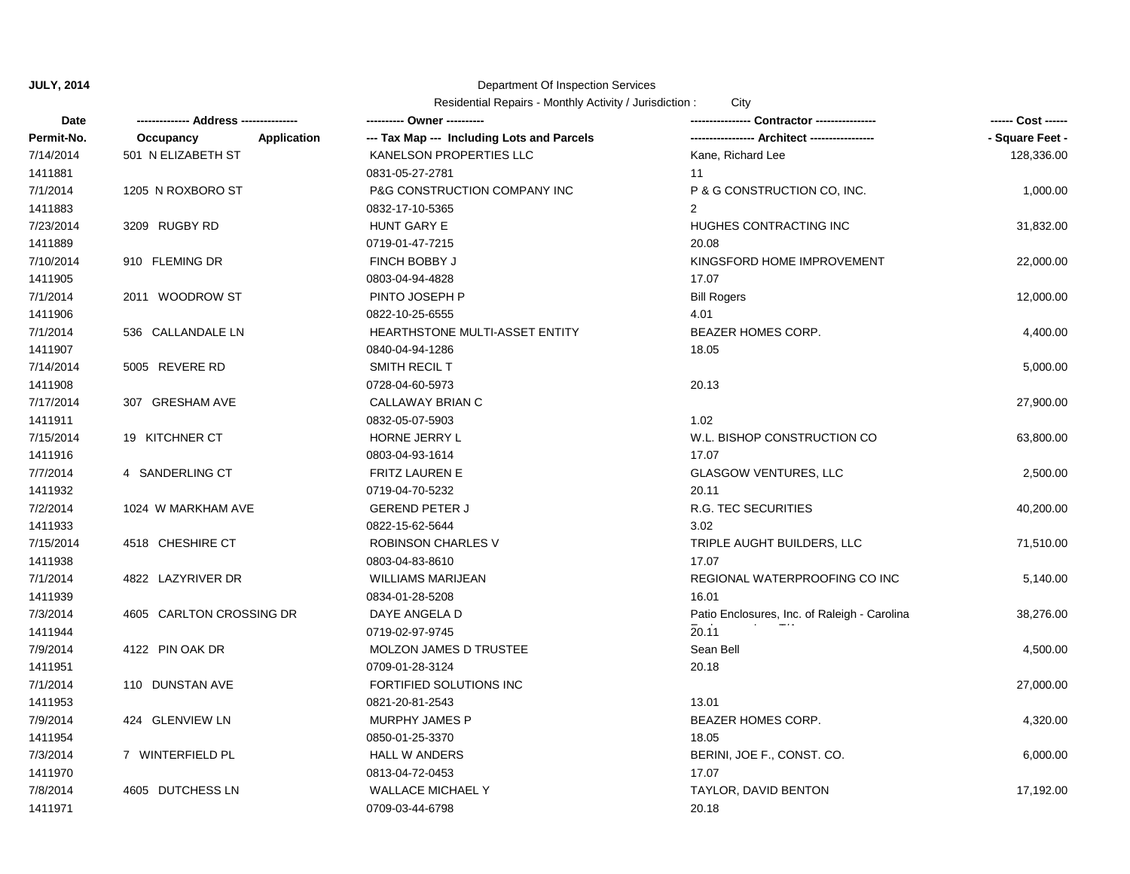| Date       |                                 | ---------- Owner ----------                |                                              | ------ Cost ------ |
|------------|---------------------------------|--------------------------------------------|----------------------------------------------|--------------------|
| Permit-No. | <b>Application</b><br>Occupancy | --- Tax Map --- Including Lots and Parcels |                                              | - Square Feet -    |
| 7/14/2014  | 501 N ELIZABETH ST              | KANELSON PROPERTIES LLC                    | Kane, Richard Lee                            | 128,336.00         |
| 1411881    |                                 | 0831-05-27-2781                            | 11                                           |                    |
| 7/1/2014   | 1205 N ROXBORO ST               | P&G CONSTRUCTION COMPANY INC               | P & G CONSTRUCTION CO, INC.                  | 1,000.00           |
| 1411883    |                                 | 0832-17-10-5365                            | $\overline{2}$                               |                    |
| 7/23/2014  | 3209 RUGBY RD                   | HUNT GARY E                                | HUGHES CONTRACTING INC                       | 31,832.00          |
| 1411889    |                                 | 0719-01-47-7215                            | 20.08                                        |                    |
| 7/10/2014  | 910 FLEMING DR                  | FINCH BOBBY J                              | KINGSFORD HOME IMPROVEMENT                   | 22,000.00          |
| 1411905    |                                 | 0803-04-94-4828                            | 17.07                                        |                    |
| 7/1/2014   | 2011 WOODROW ST                 | PINTO JOSEPH P                             | <b>Bill Rogers</b>                           | 12,000.00          |
| 1411906    |                                 | 0822-10-25-6555                            | 4.01                                         |                    |
| 7/1/2014   | 536 CALLANDALE LN               | HEARTHSTONE MULTI-ASSET ENTITY             | <b>BEAZER HOMES CORP.</b>                    | 4,400.00           |
| 1411907    |                                 | 0840-04-94-1286                            | 18.05                                        |                    |
| 7/14/2014  | 5005 REVERE RD                  | SMITH RECIL T                              |                                              | 5,000.00           |
| 1411908    |                                 | 0728-04-60-5973                            | 20.13                                        |                    |
| 7/17/2014  | 307 GRESHAM AVE                 | CALLAWAY BRIAN C                           |                                              | 27,900.00          |
| 1411911    |                                 | 0832-05-07-5903                            | 1.02                                         |                    |
| 7/15/2014  | 19 KITCHNER CT                  | HORNE JERRY L                              | W.L. BISHOP CONSTRUCTION CO                  | 63,800.00          |
| 1411916    |                                 | 0803-04-93-1614                            | 17.07                                        |                    |
| 7/7/2014   | 4 SANDERLING CT                 | <b>FRITZ LAUREN E</b>                      | <b>GLASGOW VENTURES, LLC</b>                 | 2,500.00           |
| 1411932    |                                 | 0719-04-70-5232                            | 20.11                                        |                    |
| 7/2/2014   | 1024 W MARKHAM AVE              | <b>GEREND PETER J</b>                      | <b>R.G. TEC SECURITIES</b>                   | 40,200.00          |
| 1411933    |                                 | 0822-15-62-5644                            | 3.02                                         |                    |
| 7/15/2014  | 4518 CHESHIRE CT                | ROBINSON CHARLES V                         | TRIPLE AUGHT BUILDERS, LLC                   | 71,510.00          |
| 1411938    |                                 | 0803-04-83-8610                            | 17.07                                        |                    |
| 7/1/2014   | 4822 LAZYRIVER DR               | <b>WILLIAMS MARIJEAN</b>                   | REGIONAL WATERPROOFING CO INC                | 5,140.00           |
| 1411939    |                                 | 0834-01-28-5208                            | 16.01                                        |                    |
| 7/3/2014   | 4605 CARLTON CROSSING DR        | DAYE ANGELA D                              | Patio Enclosures, Inc. of Raleigh - Carolina | 38,276.00          |
| 1411944    |                                 | 0719-02-97-9745                            | 20.11                                        |                    |
| 7/9/2014   | 4122 PIN OAK DR                 | MOLZON JAMES D TRUSTEE                     | Sean Bell                                    | 4,500.00           |
| 1411951    |                                 | 0709-01-28-3124                            | 20.18                                        |                    |
| 7/1/2014   | 110 DUNSTAN AVE                 | FORTIFIED SOLUTIONS INC                    |                                              | 27,000.00          |
| 1411953    |                                 | 0821-20-81-2543                            | 13.01                                        |                    |
| 7/9/2014   | 424 GLENVIEW LN                 | <b>MURPHY JAMES P</b>                      | BEAZER HOMES CORP.                           | 4,320.00           |
| 1411954    |                                 | 0850-01-25-3370                            | 18.05                                        |                    |
| 7/3/2014   | 7 WINTERFIELD PL                | <b>HALL W ANDERS</b>                       | BERINI, JOE F., CONST. CO.                   | 6,000.00           |
| 1411970    |                                 | 0813-04-72-0453                            | 17.07                                        |                    |
| 7/8/2014   | 4605 DUTCHESS LN                | <b>WALLACE MICHAEL Y</b>                   | TAYLOR, DAVID BENTON                         | 17,192.00          |
| 1411971    |                                 | 0709-03-44-6798                            | 20.18                                        |                    |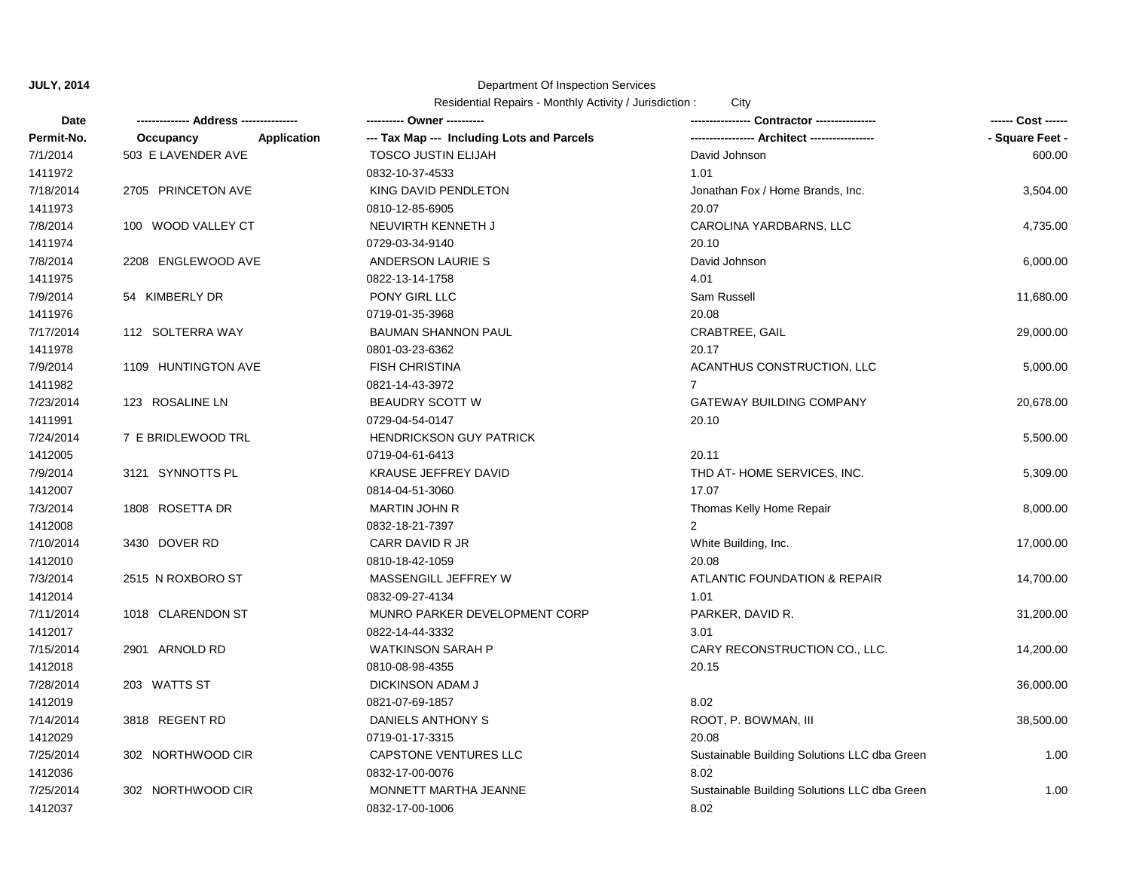| Date       |                          |                                            |                                              | ------ Cost ------ |
|------------|--------------------------|--------------------------------------------|----------------------------------------------|--------------------|
| Permit-No. | Application<br>Occupancy | --- Tax Map --- Including Lots and Parcels |                                              | - Square Feet -    |
| 7/1/2014   | 503 E LAVENDER AVE       | <b>TOSCO JUSTIN ELIJAH</b>                 | David Johnson                                | 600.00             |
| 1411972    |                          | 0832-10-37-4533                            | 1.01                                         |                    |
| 7/18/2014  | 2705 PRINCETON AVE       | KING DAVID PENDLETON                       | Jonathan Fox / Home Brands, Inc.             | 3,504.00           |
| 1411973    |                          | 0810-12-85-6905                            | 20.07                                        |                    |
| 7/8/2014   | 100 WOOD VALLEY CT       | NEUVIRTH KENNETH J                         | CAROLINA YARDBARNS, LLC                      | 4,735.00           |
| 1411974    |                          | 0729-03-34-9140                            | 20.10                                        |                    |
| 7/8/2014   | 2208 ENGLEWOOD AVE       | ANDERSON LAURIE S                          | David Johnson                                | 6,000.00           |
| 1411975    |                          | 0822-13-14-1758                            | 4.01                                         |                    |
| 7/9/2014   | 54 KIMBERLY DR           | PONY GIRL LLC                              | Sam Russell                                  | 11,680.00          |
| 1411976    |                          | 0719-01-35-3968                            | 20.08                                        |                    |
| 7/17/2014  | 112 SOLTERRA WAY         | <b>BAUMAN SHANNON PAUL</b>                 | CRABTREE, GAIL                               | 29,000.00          |
| 1411978    |                          | 0801-03-23-6362                            | 20.17                                        |                    |
| 7/9/2014   | 1109 HUNTINGTON AVE      | <b>FISH CHRISTINA</b>                      | ACANTHUS CONSTRUCTION, LLC                   | 5,000.00           |
| 1411982    |                          | 0821-14-43-3972                            | $\overline{7}$                               |                    |
| 7/23/2014  | 123 ROSALINE LN          | <b>BEAUDRY SCOTT W</b>                     | <b>GATEWAY BUILDING COMPANY</b>              | 20,678.00          |
| 1411991    |                          | 0729-04-54-0147                            | 20.10                                        |                    |
| 7/24/2014  | 7 E BRIDLEWOOD TRL       | <b>HENDRICKSON GUY PATRICK</b>             |                                              | 5,500.00           |
| 1412005    |                          | 0719-04-61-6413                            | 20.11                                        |                    |
| 7/9/2014   | 3121 SYNNOTTS PL         | <b>KRAUSE JEFFREY DAVID</b>                | THD AT-HOME SERVICES, INC.                   | 5,309.00           |
| 1412007    |                          | 0814-04-51-3060                            | 17.07                                        |                    |
| 7/3/2014   | 1808 ROSETTA DR          | <b>MARTIN JOHN R</b>                       | Thomas Kelly Home Repair                     | 8,000.00           |
| 1412008    |                          | 0832-18-21-7397                            | $\overline{2}$                               |                    |
| 7/10/2014  | 3430 DOVER RD            | CARR DAVID R JR                            | White Building, Inc.                         | 17,000.00          |
| 1412010    |                          | 0810-18-42-1059                            | 20.08                                        |                    |
| 7/3/2014   | 2515 N ROXBORO ST        | MASSENGILL JEFFREY W                       | ATLANTIC FOUNDATION & REPAIR                 | 14,700.00          |
| 1412014    |                          | 0832-09-27-4134                            | 1.01                                         |                    |
| 7/11/2014  | 1018 CLARENDON ST        | MUNRO PARKER DEVELOPMENT CORP              | PARKER, DAVID R.                             | 31,200.00          |
| 1412017    |                          | 0822-14-44-3332                            | 3.01                                         |                    |
| 7/15/2014  | 2901 ARNOLD RD           | <b>WATKINSON SARAH P</b>                   | CARY RECONSTRUCTION CO., LLC.                | 14,200.00          |
| 1412018    |                          | 0810-08-98-4355                            | 20.15                                        |                    |
| 7/28/2014  | 203 WATTS ST             | DICKINSON ADAM J                           |                                              | 36,000.00          |
| 1412019    |                          | 0821-07-69-1857                            | 8.02                                         |                    |
| 7/14/2014  | 3818 REGENT RD           | DANIELS ANTHONY S                          | ROOT, P. BOWMAN, III                         | 38,500.00          |
| 1412029    |                          | 0719-01-17-3315                            | 20.08                                        |                    |
| 7/25/2014  | 302 NORTHWOOD CIR        | <b>CAPSTONE VENTURES LLC</b>               | Sustainable Building Solutions LLC dba Green | 1.00               |
| 1412036    |                          | 0832-17-00-0076                            | 8.02                                         |                    |
| 7/25/2014  | 302 NORTHWOOD CIR        | MONNETT MARTHA JEANNE                      | Sustainable Building Solutions LLC dba Green | 1.00               |
| 1412037    |                          | 0832-17-00-1006                            | 8.02                                         |                    |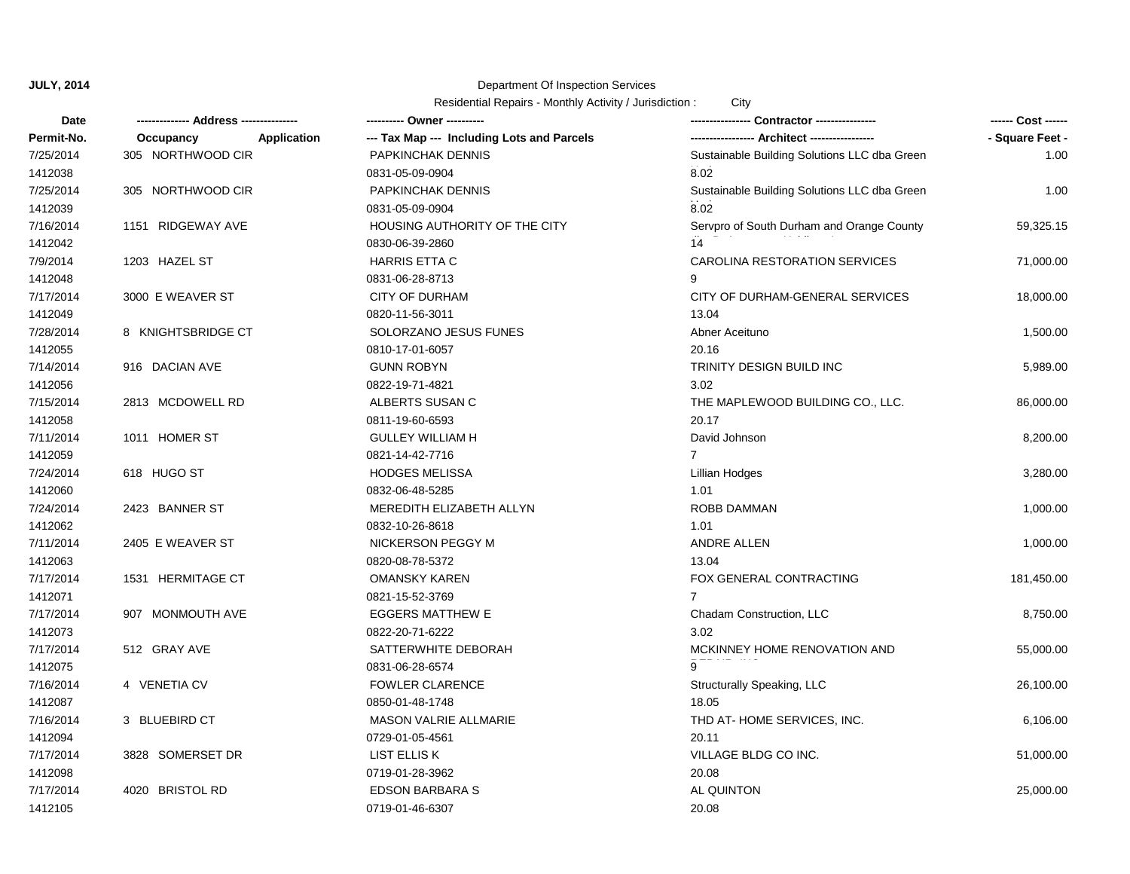| <b>Date</b> |                                 | ---------- Owner ----------                |                                              | ------ Cost ------ |
|-------------|---------------------------------|--------------------------------------------|----------------------------------------------|--------------------|
| Permit-No.  | <b>Application</b><br>Occupancy | --- Tax Map --- Including Lots and Parcels |                                              | - Square Feet -    |
| 7/25/2014   | 305 NORTHWOOD CIR               | PAPKINCHAK DENNIS                          | Sustainable Building Solutions LLC dba Green | 1.00               |
| 1412038     |                                 | 0831-05-09-0904                            | 8.02                                         |                    |
| 7/25/2014   | 305 NORTHWOOD CIR               | PAPKINCHAK DENNIS                          | Sustainable Building Solutions LLC dba Green | 1.00               |
| 1412039     |                                 | 0831-05-09-0904                            | 8.02                                         |                    |
| 7/16/2014   | 1151 RIDGEWAY AVE               | HOUSING AUTHORITY OF THE CITY              | Servpro of South Durham and Orange County    | 59,325.15          |
| 1412042     |                                 | 0830-06-39-2860                            | 14                                           |                    |
| 7/9/2014    | 1203 HAZEL ST                   | <b>HARRIS ETTA C</b>                       | CAROLINA RESTORATION SERVICES                | 71,000.00          |
| 1412048     |                                 | 0831-06-28-8713                            | 9                                            |                    |
| 7/17/2014   | 3000 E WEAVER ST                | <b>CITY OF DURHAM</b>                      | CITY OF DURHAM-GENERAL SERVICES              | 18,000.00          |
| 1412049     |                                 | 0820-11-56-3011                            | 13.04                                        |                    |
| 7/28/2014   | 8 KNIGHTSBRIDGE CT              | SOLORZANO JESUS FUNES                      | Abner Aceituno                               | 1,500.00           |
| 1412055     |                                 | 0810-17-01-6057                            | 20.16                                        |                    |
| 7/14/2014   | 916 DACIAN AVE                  | <b>GUNN ROBYN</b>                          | <b>TRINITY DESIGN BUILD INC</b>              | 5,989.00           |
| 1412056     |                                 | 0822-19-71-4821                            | 3.02                                         |                    |
| 7/15/2014   | 2813 MCDOWELL RD                | ALBERTS SUSAN C                            | THE MAPLEWOOD BUILDING CO., LLC.             | 86,000.00          |
| 1412058     |                                 | 0811-19-60-6593                            | 20.17                                        |                    |
| 7/11/2014   | 1011 HOMER ST                   | <b>GULLEY WILLIAM H</b>                    | David Johnson                                | 8,200.00           |
| 1412059     |                                 | 0821-14-42-7716                            | $\overline{7}$                               |                    |
| 7/24/2014   | 618 HUGO ST                     | <b>HODGES MELISSA</b>                      | <b>Lillian Hodges</b>                        | 3,280.00           |
| 1412060     |                                 | 0832-06-48-5285                            | 1.01                                         |                    |
| 7/24/2014   | 2423 BANNER ST                  | MEREDITH ELIZABETH ALLYN                   | <b>ROBB DAMMAN</b>                           | 1,000.00           |
| 1412062     |                                 | 0832-10-26-8618                            | 1.01                                         |                    |
| 7/11/2014   | 2405 E WEAVER ST                | <b>NICKERSON PEGGY M</b>                   | <b>ANDRE ALLEN</b>                           | 1,000.00           |
| 1412063     |                                 | 0820-08-78-5372                            | 13.04                                        |                    |
| 7/17/2014   | 1531 HERMITAGE CT               | <b>OMANSKY KAREN</b>                       | FOX GENERAL CONTRACTING                      | 181,450.00         |
| 1412071     |                                 | 0821-15-52-3769                            | $\overline{7}$                               |                    |
| 7/17/2014   | 907 MONMOUTH AVE                | <b>EGGERS MATTHEW E</b>                    | Chadam Construction, LLC                     | 8,750.00           |
| 1412073     |                                 | 0822-20-71-6222                            | 3.02                                         |                    |
| 7/17/2014   | 512 GRAY AVE                    | SATTERWHITE DEBORAH                        | MCKINNEY HOME RENOVATION AND                 | 55,000.00          |
| 1412075     |                                 | 0831-06-28-6574                            |                                              |                    |
| 7/16/2014   | 4 VENETIA CV                    | <b>FOWLER CLARENCE</b>                     | Structurally Speaking, LLC                   | 26,100.00          |
| 1412087     |                                 | 0850-01-48-1748                            | 18.05                                        |                    |
| 7/16/2014   | 3 BLUEBIRD CT                   | MASON VALRIE ALLMARIE                      | THD AT-HOME SERVICES, INC.                   | 6,106.00           |
| 1412094     |                                 | 0729-01-05-4561                            | 20.11                                        |                    |
| 7/17/2014   | 3828 SOMERSET DR                | LIST ELLIS K                               | VILLAGE BLDG CO INC.                         | 51,000.00          |
| 1412098     |                                 | 0719-01-28-3962                            | 20.08                                        |                    |
| 7/17/2014   | 4020 BRISTOL RD                 | <b>EDSON BARBARA S</b>                     | <b>AL QUINTON</b>                            | 25,000.00          |
| 1412105     |                                 | 0719-01-46-6307                            | 20.08                                        |                    |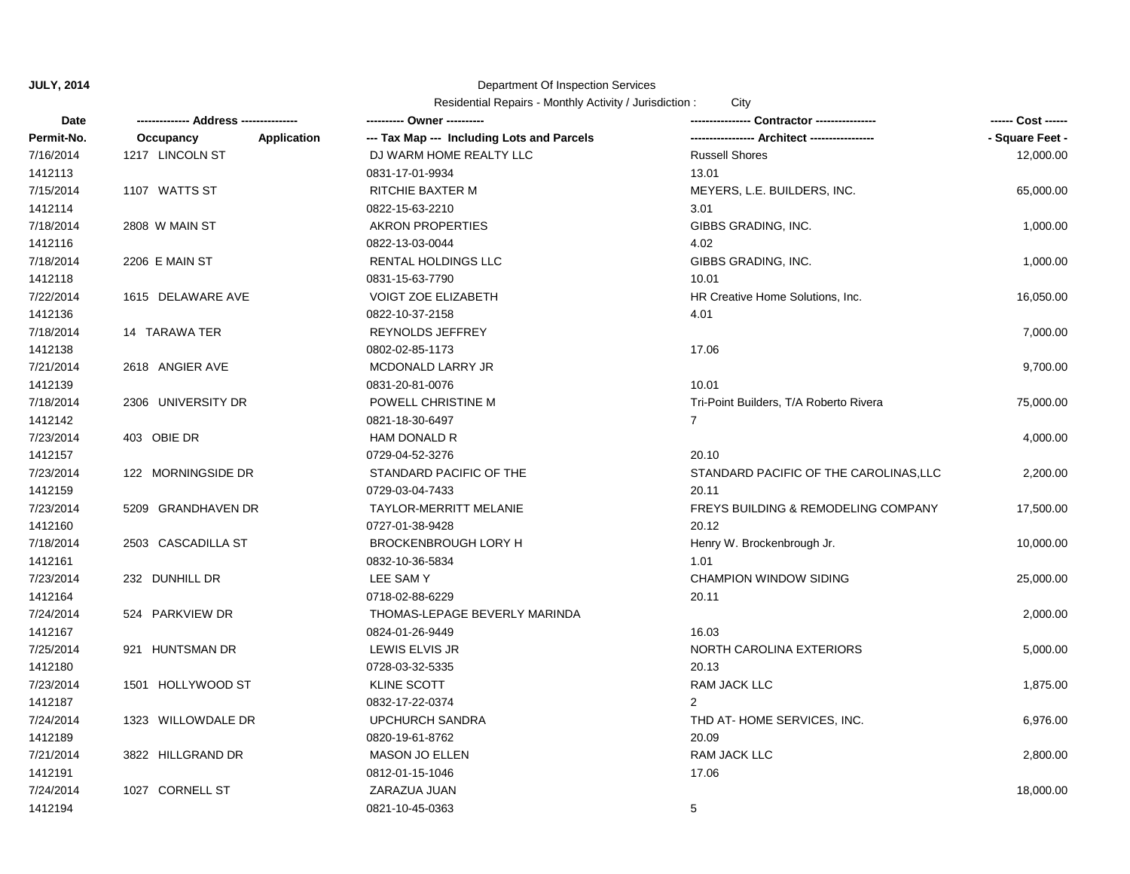| Date       |                                 |                                            |                                                |                 |
|------------|---------------------------------|--------------------------------------------|------------------------------------------------|-----------------|
| Permit-No. | <b>Application</b><br>Occupancy | --- Tax Map --- Including Lots and Parcels |                                                | - Square Feet - |
| 7/16/2014  | 1217 LINCOLN ST                 | DJ WARM HOME REALTY LLC                    | <b>Russell Shores</b>                          | 12,000.00       |
| 1412113    |                                 | 0831-17-01-9934                            | 13.01                                          |                 |
| 7/15/2014  | 1107 WATTS ST                   | RITCHIE BAXTER M                           | MEYERS, L.E. BUILDERS, INC.                    | 65,000.00       |
| 1412114    |                                 | 0822-15-63-2210                            | 3.01                                           |                 |
| 7/18/2014  | 2808 W MAIN ST                  | <b>AKRON PROPERTIES</b>                    | GIBBS GRADING, INC.                            | 1,000.00        |
| 1412116    |                                 | 0822-13-03-0044                            | 4.02                                           |                 |
| 7/18/2014  | 2206 E MAIN ST                  | <b>RENTAL HOLDINGS LLC</b>                 | GIBBS GRADING, INC.                            | 1,000.00        |
| 1412118    |                                 | 0831-15-63-7790                            | 10.01                                          |                 |
| 7/22/2014  | 1615 DELAWARE AVE               | <b>VOIGT ZOE ELIZABETH</b>                 | HR Creative Home Solutions, Inc.               | 16,050.00       |
| 1412136    |                                 | 0822-10-37-2158                            | 4.01                                           |                 |
| 7/18/2014  | 14 TARAWA TER                   | <b>REYNOLDS JEFFREY</b>                    |                                                | 7,000.00        |
| 1412138    |                                 | 0802-02-85-1173                            | 17.06                                          |                 |
| 7/21/2014  | 2618 ANGIER AVE                 | MCDONALD LARRY JR                          |                                                | 9,700.00        |
| 1412139    |                                 | 0831-20-81-0076                            | 10.01                                          |                 |
| 7/18/2014  | 2306 UNIVERSITY DR              | POWELL CHRISTINE M                         | Tri-Point Builders, T/A Roberto Rivera         | 75,000.00       |
| 1412142    |                                 | 0821-18-30-6497                            | $\overline{7}$                                 |                 |
| 7/23/2014  | 403 OBIE DR                     | HAM DONALD R                               |                                                | 4,000.00        |
| 1412157    |                                 | 0729-04-52-3276                            | 20.10                                          |                 |
| 7/23/2014  | 122 MORNINGSIDE DR              | STANDARD PACIFIC OF THE                    | STANDARD PACIFIC OF THE CAROLINAS, LLC         | 2,200.00        |
| 1412159    |                                 | 0729-03-04-7433                            | 20.11                                          |                 |
| 7/23/2014  | 5209 GRANDHAVEN DR              | <b>TAYLOR-MERRITT MELANIE</b>              | <b>FREYS BUILDING &amp; REMODELING COMPANY</b> | 17,500.00       |
| 1412160    |                                 | 0727-01-38-9428                            | 20.12                                          |                 |
| 7/18/2014  | 2503 CASCADILLA ST              | <b>BROCKENBROUGH LORY H</b>                | Henry W. Brockenbrough Jr.                     | 10,000.00       |
| 1412161    |                                 | 0832-10-36-5834                            | 1.01                                           |                 |
| 7/23/2014  | 232 DUNHILL DR                  | LEE SAMY                                   | <b>CHAMPION WINDOW SIDING</b>                  | 25,000.00       |
| 1412164    |                                 | 0718-02-88-6229                            | 20.11                                          |                 |
| 7/24/2014  | 524 PARKVIEW DR                 | THOMAS-LEPAGE BEVERLY MARINDA              |                                                | 2,000.00        |
| 1412167    |                                 | 0824-01-26-9449                            | 16.03                                          |                 |
| 7/25/2014  | 921 HUNTSMAN DR                 | LEWIS ELVIS JR                             | NORTH CAROLINA EXTERIORS                       | 5,000.00        |
| 1412180    |                                 | 0728-03-32-5335                            | 20.13                                          |                 |
| 7/23/2014  | 1501 HOLLYWOOD ST               | <b>KLINE SCOTT</b>                         | RAM JACK LLC                                   | 1,875.00        |
| 1412187    |                                 | 0832-17-22-0374                            | $\mathcal{P}$                                  |                 |
| 7/24/2014  | 1323 WILLOWDALE DR              | <b>UPCHURCH SANDRA</b>                     | THD AT-HOME SERVICES, INC.                     | 6,976.00        |
| 1412189    |                                 | 0820-19-61-8762                            | 20.09                                          |                 |
| 7/21/2014  | 3822 HILLGRAND DR               | <b>MASON JO ELLEN</b>                      | RAM JACK LLC                                   | 2,800.00        |
| 1412191    |                                 | 0812-01-15-1046                            | 17.06                                          |                 |
| 7/24/2014  | 1027 CORNELL ST                 | ZARAZUA JUAN                               |                                                | 18,000.00       |
| 1412194    |                                 | 0821-10-45-0363                            | 5                                              |                 |